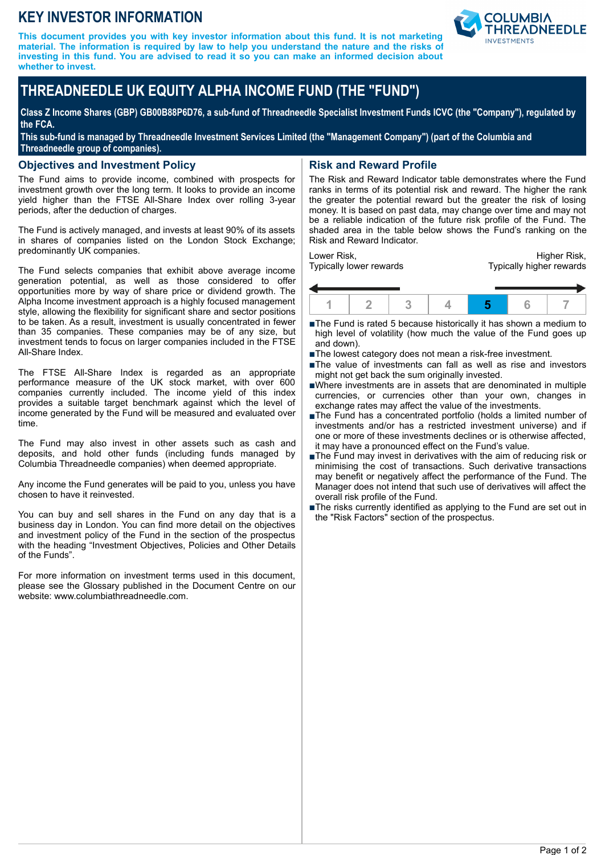# **KEY INVESTOR INFORMATION**

**This document provides you with key investor information about this fund. It is not marketing material. The information is required by law to help you understand the nature and the risks of investing in this fund. You are advised to read it so you can make an informed decision about whether to invest.**

# **THREADNEEDLE UK EQUITY ALPHA INCOME FUND (THE "FUND")**

**Class Z Income Shares (GBP) GB00B88P6D76, a sub-fund of Threadneedle Specialist Investment Funds ICVC (the "Company"), regulated by the FCA.**

**This sub-fund is managed by Threadneedle Investment Services Limited (the "Management Company") (part of the Columbia and Threadneedle group of companies).**

### **Objectives and Investment Policy**

The Fund aims to provide income, combined with prospects for investment growth over the long term. It looks to provide an income yield higher than the FTSE All-Share Index over rolling 3-year periods, after the deduction of charges.

The Fund is actively managed, and invests at least 90% of its assets in shares of companies listed on the London Stock Exchange; predominantly UK companies.

The Fund selects companies that exhibit above average income generation potential, as well as those considered to offer opportunities more by way of share price or dividend growth. The Alpha Income investment approach is a highly focused management style, allowing the flexibility for significant share and sector positions to be taken. As a result, investment is usually concentrated in fewer than 35 companies. These companies may be of any size, but investment tends to focus on larger companies included in the FTSE All-Share Index.

The FTSE All-Share Index is regarded as an appropriate performance measure of the UK stock market, with over 600 companies currently included. The income yield of this index provides a suitable target benchmark against which the level of income generated by the Fund will be measured and evaluated over time.

The Fund may also invest in other assets such as cash and deposits, and hold other funds (including funds managed by Columbia Threadneedle companies) when deemed appropriate.

Any income the Fund generates will be paid to you, unless you have chosen to have it reinvested.

You can buy and sell shares in the Fund on any day that is a business day in London. You can find more detail on the objectives and investment policy of the Fund in the section of the prospectus with the heading "Investment Objectives, Policies and Other Details of the Funds".

For more information on investment terms used in this document, please see the Glossary published in the Document Centre on our website: www.columbiathreadneedle.com.

# **Risk and Reward Profile**

The Risk and Reward Indicator table demonstrates where the Fund ranks in terms of its potential risk and reward. The higher the rank the greater the potential reward but the greater the risk of losing money. It is based on past data, may change over time and may not be a reliable indication of the future risk profile of the Fund. The shaded area in the table below shows the Fund's ranking on the Risk and Reward Indicator.

Lower Risk, Typically lower rewards

Higher Risk, Typically higher rewards



■The Fund is rated 5 because historically it has shown a medium to high level of volatility (how much the value of the Fund goes up and down).

- The lowest category does not mean a risk-free investment.
- The value of investments can fall as well as rise and investors might not get back the sum originally invested.
- nWhere investments are in assets that are denominated in multiple currencies, or currencies other than your own, changes in exchange rates may affect the value of the investments.
- ■The Fund has a concentrated portfolio (holds a limited number of investments and/or has a restricted investment universe) and if one or more of these investments declines or is otherwise affected, it may have a pronounced effect on the Fund's value.
- The Fund may invest in derivatives with the aim of reducing risk or minimising the cost of transactions. Such derivative transactions may benefit or negatively affect the performance of the Fund. The Manager does not intend that such use of derivatives will affect the overall risk profile of the Fund.
- The risks currently identified as applying to the Fund are set out in the "Risk Factors" section of the prospectus.